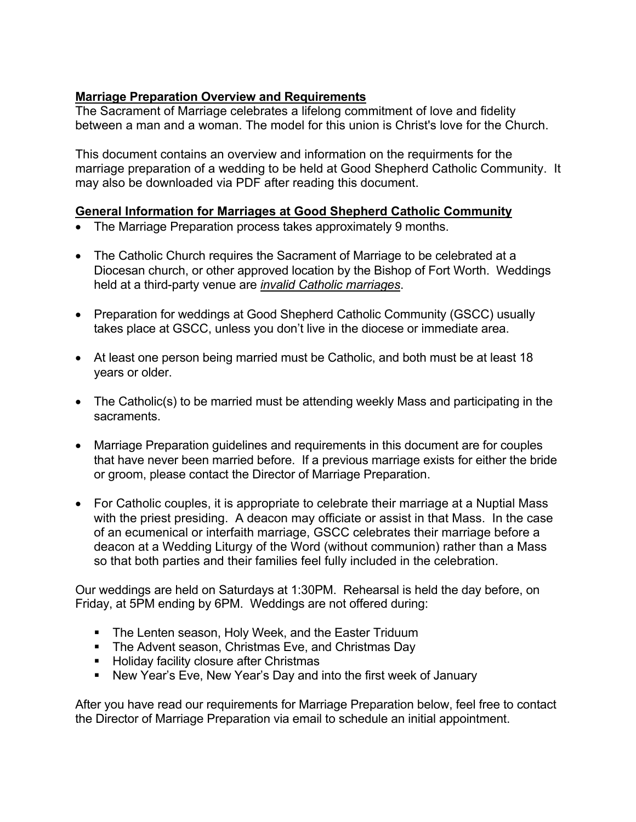# **Marriage Preparation Overview and Requirements**

The Sacrament of Marriage celebrates a lifelong commitment of love and fidelity between a man and a woman. The model for this union is Christ's love for the Church.

This document contains an overview and information on the requirments for the marriage preparation of a wedding to be held at Good Shepherd Catholic Community. It may also be downloaded via PDF after reading this document.

### **General Information for Marriages at Good Shepherd Catholic Community**

- The Marriage Preparation process takes approximately 9 months.
- The Catholic Church requires the Sacrament of Marriage to be celebrated at a Diocesan church, or other approved location by the Bishop of Fort Worth. Weddings held at a third-party venue are *invalid Catholic marriages*.
- Preparation for weddings at Good Shepherd Catholic Community (GSCC) usually takes place at GSCC, unless you don't live in the diocese or immediate area.
- At least one person being married must be Catholic, and both must be at least 18 years or older.
- The Catholic(s) to be married must be attending weekly Mass and participating in the sacraments.
- Marriage Preparation guidelines and requirements in this document are for couples that have never been married before. If a previous marriage exists for either the bride or groom, please contact the Director of Marriage Preparation.
- For Catholic couples, it is appropriate to celebrate their marriage at a Nuptial Mass with the priest presiding. A deacon may officiate or assist in that Mass. In the case of an ecumenical or interfaith marriage, GSCC celebrates their marriage before a deacon at a Wedding Liturgy of the Word (without communion) rather than a Mass so that both parties and their families feel fully included in the celebration.

Our weddings are held on Saturdays at 1:30PM. Rehearsal is held the day before, on Friday, at 5PM ending by 6PM. Weddings are not offered during:

- The Lenten season, Holy Week, and the Easter Triduum
- The Advent season, Christmas Eve, and Christmas Day
- Holiday facility closure after Christmas
- New Year's Eve, New Year's Day and into the first week of January

After you have read our requirements for Marriage Preparation below, feel free to contact the Director of Marriage Preparation via email to schedule an initial appointment.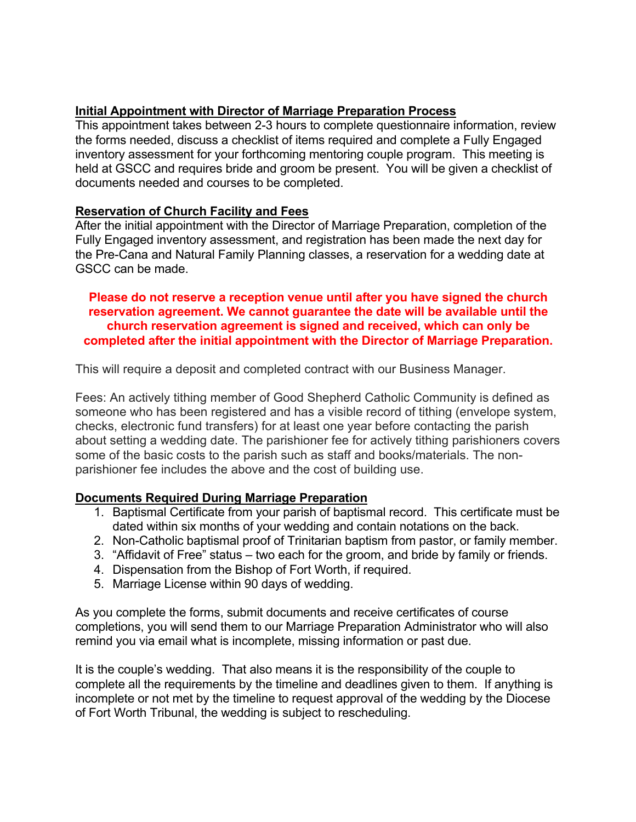# **Initial Appointment with Director of Marriage Preparation Process**

This appointment takes between 2-3 hours to complete questionnaire information, review the forms needed, discuss a checklist of items required and complete a Fully Engaged inventory assessment for your forthcoming mentoring couple program. This meeting is held at GSCC and requires bride and groom be present. You will be given a checklist of documents needed and courses to be completed.

### **Reservation of Church Facility and Fees**

After the initial appointment with the Director of Marriage Preparation, completion of the Fully Engaged inventory assessment, and registration has been made the next day for the Pre-Cana and Natural Family Planning classes, a reservation for a wedding date at GSCC can be made.

**Please do not reserve a reception venue until after you have signed the church reservation agreement. We cannot guarantee the date will be available until the church reservation agreement is signed and received, which can only be completed after the initial appointment with the Director of Marriage Preparation.**

This will require a deposit and completed contract with our Business Manager.

Fees: An actively tithing member of Good Shepherd Catholic Community is defined as someone who has been registered and has a visible record of tithing (envelope system, checks, electronic fund transfers) for at least one year before contacting the parish about setting a wedding date. The parishioner fee for actively tithing parishioners covers some of the basic costs to the parish such as staff and books/materials. The nonparishioner fee includes the above and the cost of building use.

### **Documents Required During Marriage Preparation**

- 1. Baptismal Certificate from your parish of baptismal record. This certificate must be dated within six months of your wedding and contain notations on the back.
- 2. Non-Catholic baptismal proof of Trinitarian baptism from pastor, or family member.
- 3. "Affidavit of Free" status two each for the groom, and bride by family or friends.
- 4. Dispensation from the Bishop of Fort Worth, if required.
- 5. Marriage License within 90 days of wedding.

As you complete the forms, submit documents and receive certificates of course completions, you will send them to our Marriage Preparation Administrator who will also remind you via email what is incomplete, missing information or past due.

It is the couple's wedding. That also means it is the responsibility of the couple to complete all the requirements by the timeline and deadlines given to them. If anything is incomplete or not met by the timeline to request approval of the wedding by the Diocese of Fort Worth Tribunal, the wedding is subject to rescheduling.